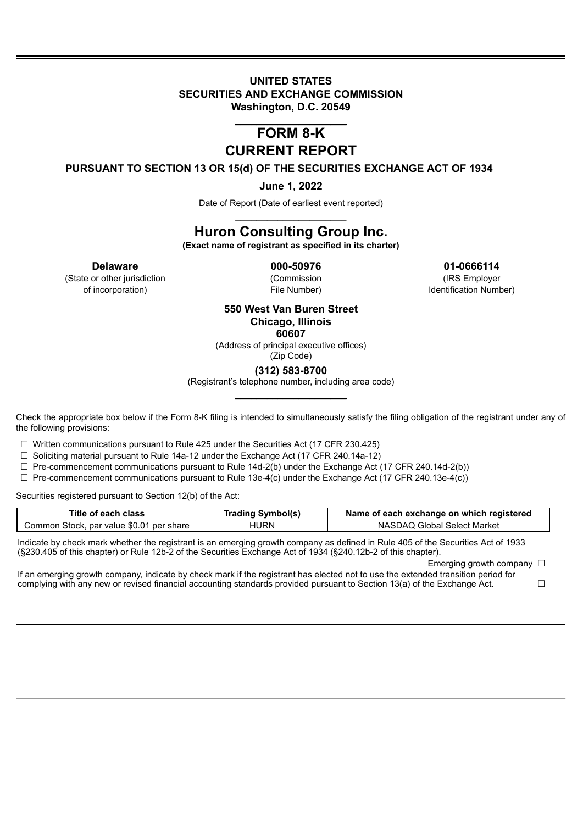#### **UNITED STATES SECURITIES AND EXCHANGE COMMISSION Washington, D.C. 20549**

### \_\_\_\_\_\_\_\_\_\_\_\_\_\_\_\_\_\_\_\_\_ **FORM 8-K CURRENT REPORT**

**PURSUANT TO SECTION 13 OR 15(d) OF THE SECURITIES EXCHANGE ACT OF 1934**

**June 1, 2022**

Date of Report (Date of earliest event reported) \_\_\_\_\_\_\_\_\_\_\_\_\_\_\_\_\_\_\_\_\_

# **Huron Consulting Group Inc.**

**(Exact name of registrant as specified in its charter)**

(State or other jurisdiction (Commission (IRS Employer

**Delaware 000-50976 01-0666114**

of incorporation) Tile Number) File Number and the Identification Number)

#### **550 West Van Buren Street Chicago, Illinois 60607**

(Address of principal executive offices) (Zip Code)

**(312) 583-8700**

(Registrant's telephone number, including area code) \_\_\_\_\_\_\_\_\_\_\_\_\_\_\_\_\_\_\_\_\_

Check the appropriate box below if the Form 8-K filing is intended to simultaneously satisfy the filing obligation of the registrant under any of the following provisions:

☐ Written communications pursuant to Rule 425 under the Securities Act (17 CFR 230.425)

☐ Soliciting material pursuant to Rule 14a-12 under the Exchange Act (17 CFR 240.14a-12)

 $\Box$  Pre-commencement communications pursuant to Rule 14d-2(b) under the Exchange Act (17 CFR 240.14d-2(b))

 $\Box$  Pre-commencement communications pursuant to Rule 13e-4(c) under the Exchange Act (17 CFR 240.13e-4(c))

Securities registered pursuant to Section 12(b) of the Act:

| Title of each class                      | <b>Trading Symbol(s)</b> | Name of each exchange on which registered |
|------------------------------------------|--------------------------|-------------------------------------------|
| Common Stock, par value \$0.01 per share | HURN                     | NASDAQ Global Select Market               |

Indicate by check mark whether the registrant is an emerging growth company as defined in Rule 405 of the Securities Act of 1933 (§230.405 of this chapter) or Rule 12b-2 of the Securities Exchange Act of 1934 (§240.12b-2 of this chapter).

Emerging growth company  $\Box$ 

If an emerging growth company, indicate by check mark if the registrant has elected not to use the extended transition period for complying with any new or revised financial accounting standards provided pursuant to Section 13(a) of the Exchange Act.  $□$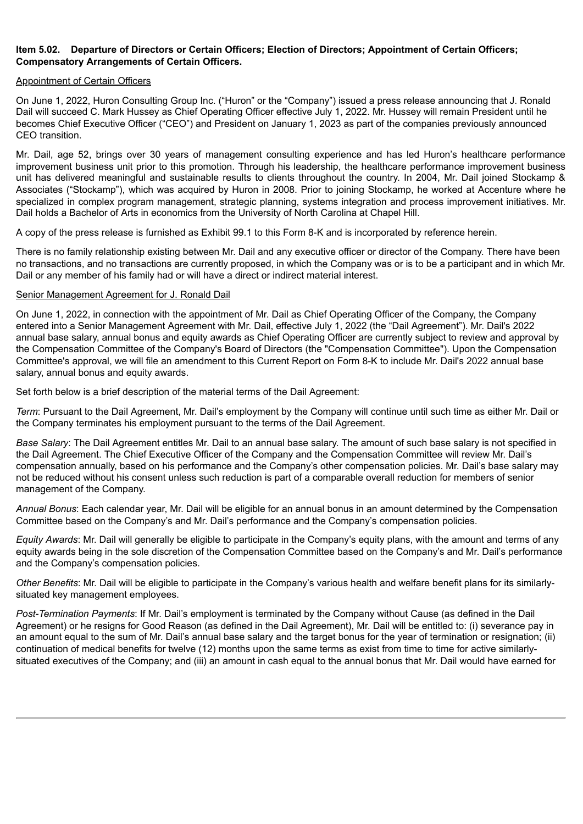#### **Item 5.02. Departure of Directors or Certain Officers; Election of Directors; Appointment of Certain Officers; Compensatory Arrangements of Certain Officers.**

#### Appointment of Certain Officers

On June 1, 2022, Huron Consulting Group Inc. ("Huron" or the "Company") issued a press release announcing that J. Ronald Dail will succeed C. Mark Hussey as Chief Operating Officer effective July 1, 2022. Mr. Hussey will remain President until he becomes Chief Executive Officer ("CEO") and President on January 1, 2023 as part of the companies previously announced CEO transition.

Mr. Dail, age 52, brings over 30 years of management consulting experience and has led Huron's healthcare performance improvement business unit prior to this promotion. Through his leadership, the healthcare performance improvement business unit has delivered meaningful and sustainable results to clients throughout the country. In 2004, Mr. Dail joined Stockamp & Associates ("Stockamp"), which was acquired by Huron in 2008. Prior to joining Stockamp, he worked at Accenture where he specialized in complex program management, strategic planning, systems integration and process improvement initiatives. Mr. Dail holds a Bachelor of Arts in economics from the University of North Carolina at Chapel Hill.

A copy of the press release is furnished as Exhibit 99.1 to this Form 8-K and is incorporated by reference herein.

There is no family relationship existing between Mr. Dail and any executive officer or director of the Company. There have been no transactions, and no transactions are currently proposed, in which the Company was or is to be a participant and in which Mr. Dail or any member of his family had or will have a direct or indirect material interest.

#### Senior Management Agreement for J. Ronald Dail

On June 1, 2022, in connection with the appointment of Mr. Dail as Chief Operating Officer of the Company, the Company entered into a Senior Management Agreement with Mr. Dail, effective July 1, 2022 (the "Dail Agreement"). Mr. Dail's 2022 annual base salary, annual bonus and equity awards as Chief Operating Officer are currently subject to review and approval by the Compensation Committee of the Company's Board of Directors (the "Compensation Committee"). Upon the Compensation Committee's approval, we will file an amendment to this Current Report on Form 8-K to include Mr. Dail's 2022 annual base salary, annual bonus and equity awards.

Set forth below is a brief description of the material terms of the Dail Agreement:

*Term*: Pursuant to the Dail Agreement, Mr. Dail's employment by the Company will continue until such time as either Mr. Dail or the Company terminates his employment pursuant to the terms of the Dail Agreement.

*Base Salary*: The Dail Agreement entitles Mr. Dail to an annual base salary. The amount of such base salary is not specified in the Dail Agreement. The Chief Executive Officer of the Company and the Compensation Committee will review Mr. Dail's compensation annually, based on his performance and the Company's other compensation policies. Mr. Dail's base salary may not be reduced without his consent unless such reduction is part of a comparable overall reduction for members of senior management of the Company.

*Annual Bonus*: Each calendar year, Mr. Dail will be eligible for an annual bonus in an amount determined by the Compensation Committee based on the Company's and Mr. Dail's performance and the Company's compensation policies.

*Equity Awards*: Mr. Dail will generally be eligible to participate in the Company's equity plans, with the amount and terms of any equity awards being in the sole discretion of the Compensation Committee based on the Company's and Mr. Dail's performance and the Company's compensation policies.

*Other Benefits*: Mr. Dail will be eligible to participate in the Company's various health and welfare benefit plans for its similarlysituated key management employees.

*Post-Termination Payments*: If Mr. Dail's employment is terminated by the Company without Cause (as defined in the Dail Agreement) or he resigns for Good Reason (as defined in the Dail Agreement), Mr. Dail will be entitled to: (i) severance pay in an amount equal to the sum of Mr. Dail's annual base salary and the target bonus for the year of termination or resignation; (ii) continuation of medical benefits for twelve (12) months upon the same terms as exist from time to time for active similarlysituated executives of the Company; and (iii) an amount in cash equal to the annual bonus that Mr. Dail would have earned for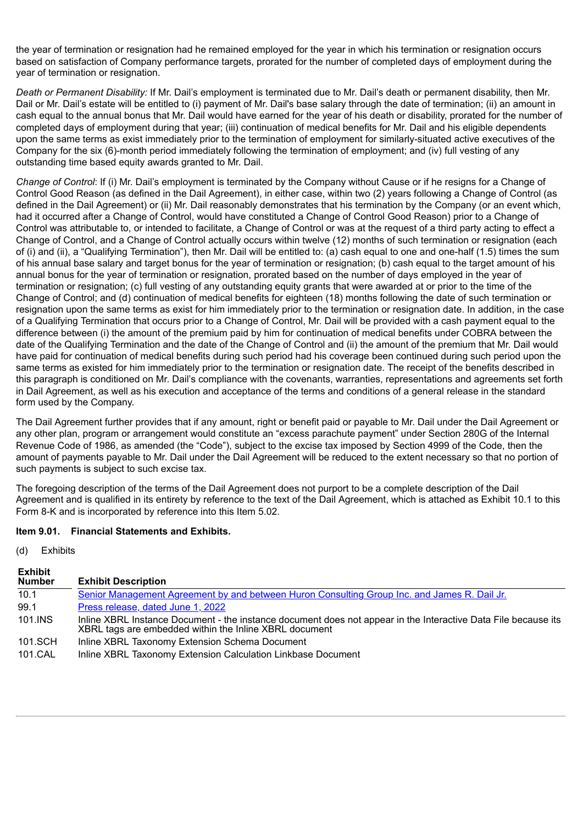the year of termination or resignation had he remained employed for the year in which his termination or resignation occurs based on satisfaction of Company performance targets, prorated for the number of completed days of employment during the year of termination or resignation.

*Death or Permanent Disability:* If Mr. Dail's employment is terminated due to Mr. Dail's death or permanent disability, then Mr. Dail or Mr. Dail's estate will be entitled to (i) payment of Mr. Dail's base salary through the date of termination; (ii) an amount in cash equal to the annual bonus that Mr. Dail would have earned for the year of his death or disability, prorated for the number of completed days of employment during that year; (iii) continuation of medical benefits for Mr. Dail and his eligible dependents upon the same terms as exist immediately prior to the termination of employment for similarly-situated active executives of the Company for the six (6)-month period immediately following the termination of employment; and (iv) full vesting of any outstanding time based equity awards granted to Mr. Dail.

*Change of Control*: If (i) Mr. Dail's employment is terminated by the Company without Cause or if he resigns for a Change of Control Good Reason (as defined in the Dail Agreement), in either case, within two (2) years following a Change of Control (as defined in the Dail Agreement) or (ii) Mr. Dail reasonably demonstrates that his termination by the Company (or an event which, had it occurred after a Change of Control, would have constituted a Change of Control Good Reason) prior to a Change of Control was attributable to, or intended to facilitate, a Change of Control or was at the request of a third party acting to effect a Change of Control, and a Change of Control actually occurs within twelve (12) months of such termination or resignation (each of (i) and (ii), a "Qualifying Termination"), then Mr. Dail will be entitled to: (a) cash equal to one and one-half (1.5) times the sum of his annual base salary and target bonus for the year of termination or resignation; (b) cash equal to the target amount of his annual bonus for the year of termination or resignation, prorated based on the number of days employed in the year of termination or resignation; (c) full vesting of any outstanding equity grants that were awarded at or prior to the time of the Change of Control; and (d) continuation of medical benefits for eighteen (18) months following the date of such termination or resignation upon the same terms as exist for him immediately prior to the termination or resignation date. In addition, in the case of a Qualifying Termination that occurs prior to a Change of Control, Mr. Dail will be provided with a cash payment equal to the difference between (i) the amount of the premium paid by him for continuation of medical benefits under COBRA between the date of the Qualifying Termination and the date of the Change of Control and (ii) the amount of the premium that Mr. Dail would have paid for continuation of medical benefits during such period had his coverage been continued during such period upon the same terms as existed for him immediately prior to the termination or resignation date. The receipt of the benefits described in this paragraph is conditioned on Mr. Dail's compliance with the covenants, warranties, representations and agreements set forth in Dail Agreement, as well as his execution and acceptance of the terms and conditions of a general release in the standard form used by the Company.

The Dail Agreement further provides that if any amount, right or benefit paid or payable to Mr. Dail under the Dail Agreement or any other plan, program or arrangement would constitute an "excess parachute payment" under Section 280G of the Internal Revenue Code of 1986, as amended (the "Code"), subject to the excise tax imposed by Section 4999 of the Code, then the amount of payments payable to Mr. Dail under the Dail Agreement will be reduced to the extent necessary so that no portion of such payments is subject to such excise tax.

The foregoing description of the terms of the Dail Agreement does not purport to be a complete description of the Dail Agreement and is qualified in its entirety by reference to the text of the Dail Agreement, which is attached as Exhibit 10.1 to this Form 8-K and is incorporated by reference into this Item 5.02.

#### **Item 9.01. Financial Statements and Exhibits.**

#### (d) Exhibits

| <b>Exhibit</b><br><b>Number</b> | <b>Exhibit Description</b>                                                                                                                                               |
|---------------------------------|--------------------------------------------------------------------------------------------------------------------------------------------------------------------------|
| 10.1                            | Senior Management Agreement by and between Huron Consulting Group Inc. and James R. Dail Jr.                                                                             |
| 99.1                            | <u>Press release, dated June 1, 2022</u>                                                                                                                                 |
| 101.INS                         | Inline XBRL Instance Document - the instance document does not appear in the Interactive Data File because its<br>XBRL tags are embedded within the Inline XBRL document |
| 101.SCH                         | Inline XBRL Taxonomy Extension Schema Document                                                                                                                           |
| 101.CAL                         | Inline XBRL Taxonomy Extension Calculation Linkbase Document                                                                                                             |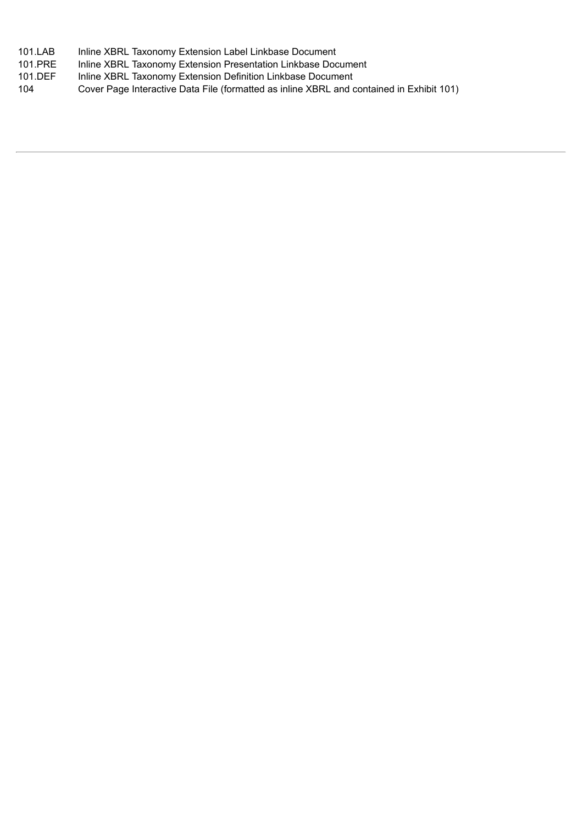| 101.LAB | Inline XBRL Taxonomy Extension Label Linkbase Document |
|---------|--------------------------------------------------------|
|         |                                                        |

- 101.PRE Inline XBRL Taxonomy Extension Presentation Linkbase Document
- 101.DEF Inline XBRL Taxonomy Extension Definition Linkbase Document

104 Cover Page Interactive Data File (formatted as inline XBRL and contained in Exhibit 101)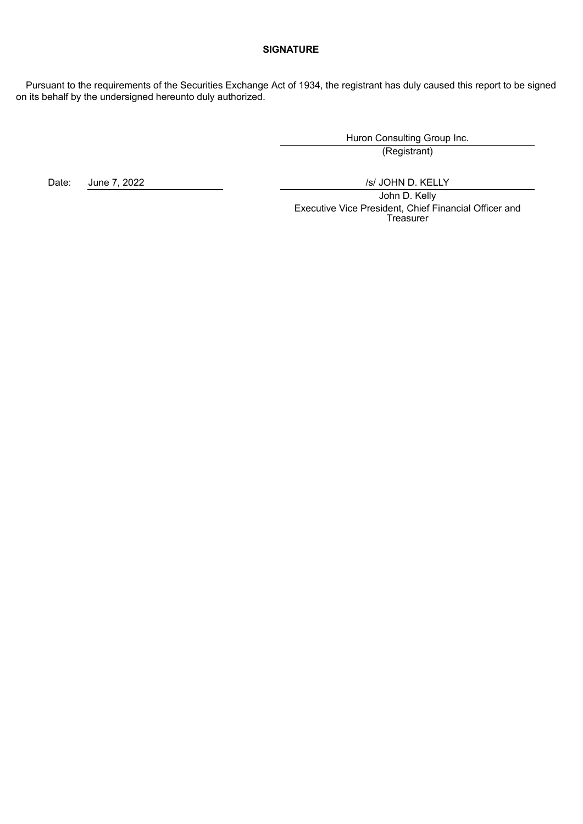#### **SIGNATURE**

Pursuant to the requirements of the Securities Exchange Act of 1934, the registrant has duly caused this report to be signed on its behalf by the undersigned hereunto duly authorized.

> Huron Consulting Group Inc. (Registrant)

Date: June 7, 2022 /s/ JOHN D. KELLY

John D. Kelly Executive Vice President, Chief Financial Officer and **Treasurer**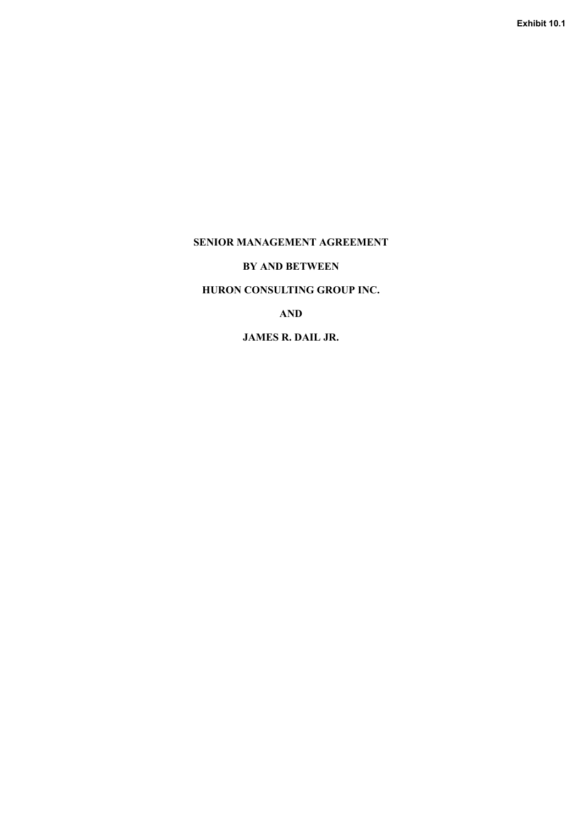<span id="page-5-0"></span>**SENIOR MANAGEMENT AGREEMENT**

**BY AND BETWEEN**

**HURON CONSULTING GROUP INC.**

**AND**

**JAMES R. DAIL JR.**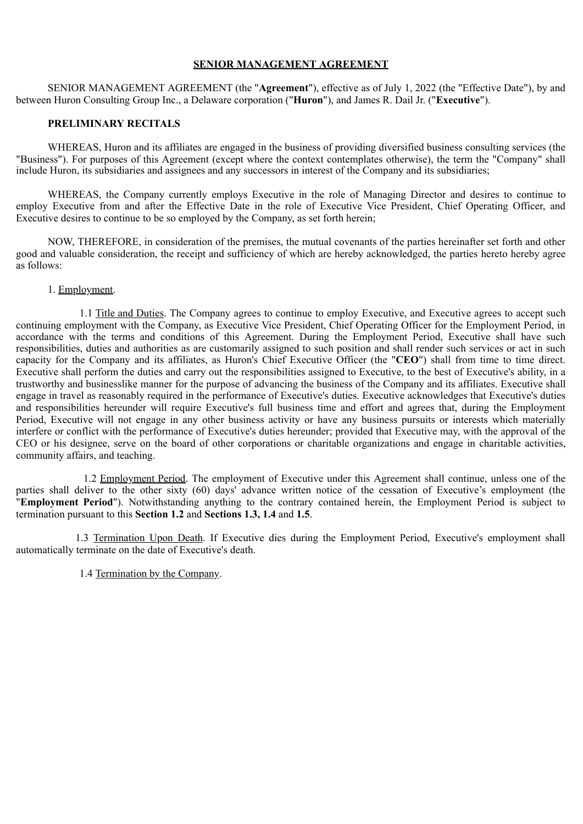#### **SENIOR MANAGEMENT AGREEMENT**

SENIOR MANAGEMENT AGREEMENT (the "**Agreement**"), effective as of July 1, 2022 (the "Effective Date"), by and between Huron Consulting Group Inc., a Delaware corporation ("**Huron**"), and James R. Dail Jr. ("**Executive**").

#### **PRELIMINARY RECITALS**

WHEREAS, Huron and its affiliates are engaged in the business of providing diversified business consulting services (the "Business"). For purposes of this Agreement (except where the context contemplates otherwise), the term the "Company" shall include Huron, its subsidiaries and assignees and any successors in interest of the Company and its subsidiaries;

WHEREAS, the Company currently employs Executive in the role of Managing Director and desires to continue to employ Executive from and after the Effective Date in the role of Executive Vice President, Chief Operating Officer, and Executive desires to continue to be so employed by the Company, as set forth herein;

NOW, THEREFORE, in consideration of the premises, the mutual covenants of the parties hereinafter set forth and other good and valuable consideration, the receipt and sufficiency of which are hereby acknowledged, the parties hereto hereby agree as follows:

#### 1. Employment.

1.1 Title and Duties. The Company agrees to continue to employ Executive, and Executive agrees to accept such continuing employment with the Company, as Executive Vice President, Chief Operating Officer for the Employment Period, in accordance with the terms and conditions of this Agreement. During the Employment Period, Executive shall have such responsibilities, duties and authorities as are customarily assigned to such position and shall render such services or act in such capacity for the Company and its affiliates, as Huron's Chief Executive Officer (the "**CEO**") shall from time to time direct. Executive shall perform the duties and carry out the responsibilities assigned to Executive, to the best of Executive's ability, in a trustworthy and businesslike manner for the purpose of advancing the business of the Company and its affiliates. Executive shall engage in travel as reasonably required in the performance of Executive's duties. Executive acknowledges that Executive's duties and responsibilities hereunder will require Executive's full business time and effort and agrees that, during the Employment Period, Executive will not engage in any other business activity or have any business pursuits or interests which materially interfere or conflict with the performance of Executive's duties hereunder; provided that Executive may, with the approval of the CEO or his designee, serve on the board of other corporations or charitable organizations and engage in charitable activities, community affairs, and teaching.

1.2 Employment Period. The employment of Executive under this Agreement shall continue, unless one of the parties shall deliver to the other sixty (60) days' advance written notice of the cessation of Executive's employment (the "**Employment Period**"). Notwithstanding anything to the contrary contained herein, the Employment Period is subject to termination pursuant to this **Section 1.2** and **Sections 1.3, 1.4** and **1.5**.

1.3 Termination Upon Death. If Executive dies during the Employment Period, Executive's employment shall automatically terminate on the date of Executive's death.

#### 1.4 Termination by the Company.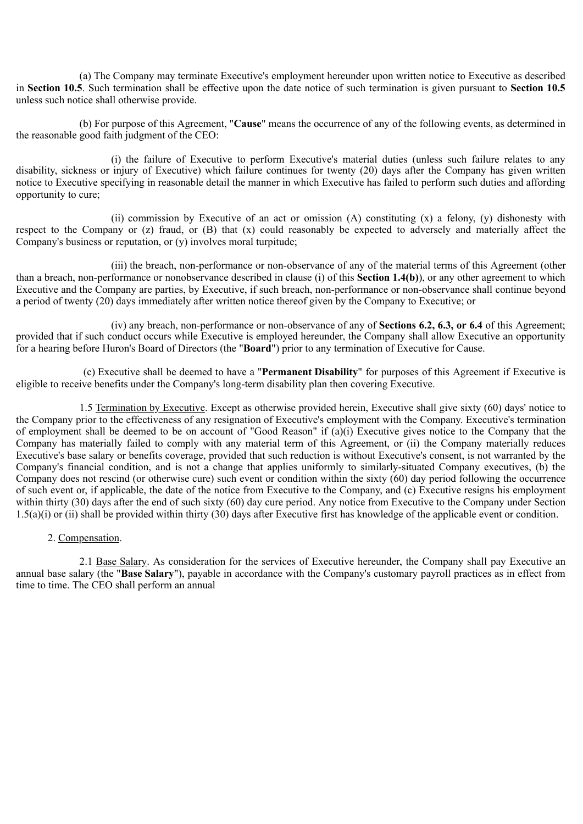(a) The Company may terminate Executive's employment hereunder upon written notice to Executive as described in **Section 10.5**. Such termination shall be effective upon the date notice of such termination is given pursuant to **Section 10.5** unless such notice shall otherwise provide.

(b) For purpose of this Agreement, "**Cause**" means the occurrence of any of the following events, as determined in the reasonable good faith judgment of the CEO:

(i) the failure of Executive to perform Executive's material duties (unless such failure relates to any disability, sickness or injury of Executive) which failure continues for twenty (20) days after the Company has given written notice to Executive specifying in reasonable detail the manner in which Executive has failed to perform such duties and affording opportunity to cure;

(ii) commission by Executive of an act or omission (A) constituting (x) a felony, (y) dishonesty with respect to the Company or (z) fraud, or (B) that (x) could reasonably be expected to adversely and materially affect the Company's business or reputation, or (y) involves moral turpitude;

(iii) the breach, non-performance or non-observance of any of the material terms of this Agreement (other than a breach, non-performance or nonobservance described in clause (i) of this **Section 1.4(b)**), or any other agreement to which Executive and the Company are parties, by Executive, if such breach, non-performance or non-observance shall continue beyond a period of twenty (20) days immediately after written notice thereof given by the Company to Executive; or

(iv) any breach, non-performance or non-observance of any of **Sections 6.2, 6.3, or 6.4** of this Agreement; provided that if such conduct occurs while Executive is employed hereunder, the Company shall allow Executive an opportunity for a hearing before Huron's Board of Directors (the "**Board**") prior to any termination of Executive for Cause.

(c) Executive shall be deemed to have a "**Permanent Disability**" for purposes of this Agreement if Executive is eligible to receive benefits under the Company's long-term disability plan then covering Executive.

1.5 Termination by Executive. Except as otherwise provided herein, Executive shall give sixty (60) days' notice to the Company prior to the effectiveness of any resignation of Executive's employment with the Company. Executive's termination of employment shall be deemed to be on account of "Good Reason" if (a)(i) Executive gives notice to the Company that the Company has materially failed to comply with any material term of this Agreement, or (ii) the Company materially reduces Executive's base salary or benefits coverage, provided that such reduction is without Executive's consent, is not warranted by the Company's financial condition, and is not a change that applies uniformly to similarly-situated Company executives, (b) the Company does not rescind (or otherwise cure) such event or condition within the sixty (60) day period following the occurrence of such event or, if applicable, the date of the notice from Executive to the Company, and (c) Executive resigns his employment within thirty (30) days after the end of such sixty (60) day cure period. Any notice from Executive to the Company under Section 1.5(a)(i) or (ii) shall be provided within thirty (30) days after Executive first has knowledge of the applicable event or condition.

#### 2. Compensation.

2.1 Base Salary. As consideration for the services of Executive hereunder, the Company shall pay Executive an annual base salary (the "**Base Salary**"), payable in accordance with the Company's customary payroll practices as in effect from time to time. The CEO shall perform an annual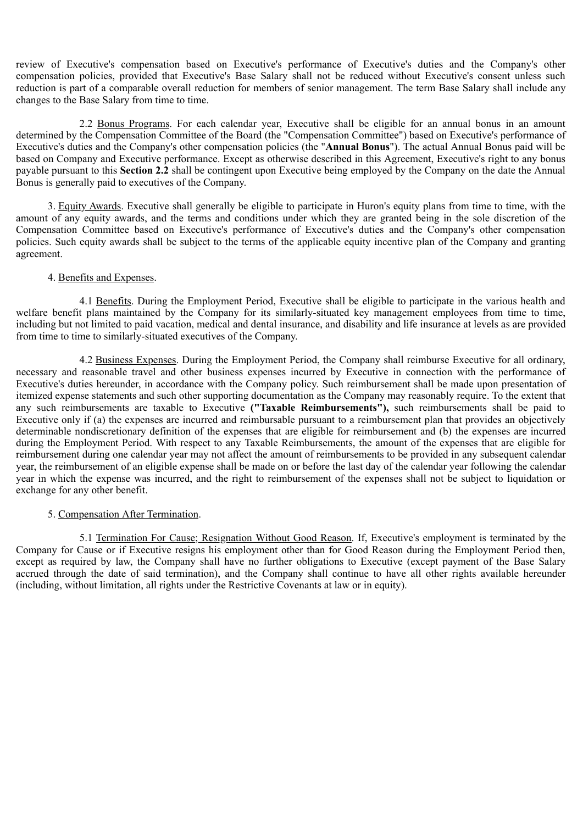review of Executive's compensation based on Executive's performance of Executive's duties and the Company's other compensation policies, provided that Executive's Base Salary shall not be reduced without Executive's consent unless such reduction is part of a comparable overall reduction for members of senior management. The term Base Salary shall include any changes to the Base Salary from time to time.

2.2 Bonus Programs. For each calendar year, Executive shall be eligible for an annual bonus in an amount determined by the Compensation Committee of the Board (the "Compensation Committee") based on Executive's performance of Executive's duties and the Company's other compensation policies (the "**Annual Bonus**"). The actual Annual Bonus paid will be based on Company and Executive performance. Except as otherwise described in this Agreement, Executive's right to any bonus payable pursuant to this **Section 2.2** shall be contingent upon Executive being employed by the Company on the date the Annual Bonus is generally paid to executives of the Company.

3. Equity Awards. Executive shall generally be eligible to participate in Huron's equity plans from time to time, with the amount of any equity awards, and the terms and conditions under which they are granted being in the sole discretion of the Compensation Committee based on Executive's performance of Executive's duties and the Company's other compensation policies. Such equity awards shall be subject to the terms of the applicable equity incentive plan of the Company and granting agreement.

#### 4. Benefits and Expenses.

4.1 Benefits. During the Employment Period, Executive shall be eligible to participate in the various health and welfare benefit plans maintained by the Company for its similarly-situated key management employees from time to time, including but not limited to paid vacation, medical and dental insurance, and disability and life insurance at levels as are provided from time to time to similarly-situated executives of the Company.

4.2 Business Expenses. During the Employment Period, the Company shall reimburse Executive for all ordinary, necessary and reasonable travel and other business expenses incurred by Executive in connection with the performance of Executive's duties hereunder, in accordance with the Company policy. Such reimbursement shall be made upon presentation of itemized expense statements and such other supporting documentation as the Company may reasonably require. To the extent that any such reimbursements are taxable to Executive **("Taxable Reimbursements"),** such reimbursements shall be paid to Executive only if (a) the expenses are incurred and reimbursable pursuant to a reimbursement plan that provides an objectively determinable nondiscretionary definition of the expenses that are eligible for reimbursement and (b) the expenses are incurred during the Employment Period. With respect to any Taxable Reimbursements, the amount of the expenses that are eligible for reimbursement during one calendar year may not affect the amount of reimbursements to be provided in any subsequent calendar year, the reimbursement of an eligible expense shall be made on or before the last day of the calendar year following the calendar year in which the expense was incurred, and the right to reimbursement of the expenses shall not be subject to liquidation or exchange for any other benefit.

#### 5. Compensation After Termination.

5.1 Termination For Cause; Resignation Without Good Reason. If, Executive's employment is terminated by the Company for Cause or if Executive resigns his employment other than for Good Reason during the Employment Period then, except as required by law, the Company shall have no further obligations to Executive (except payment of the Base Salary accrued through the date of said termination), and the Company shall continue to have all other rights available hereunder (including, without limitation, all rights under the Restrictive Covenants at law or in equity).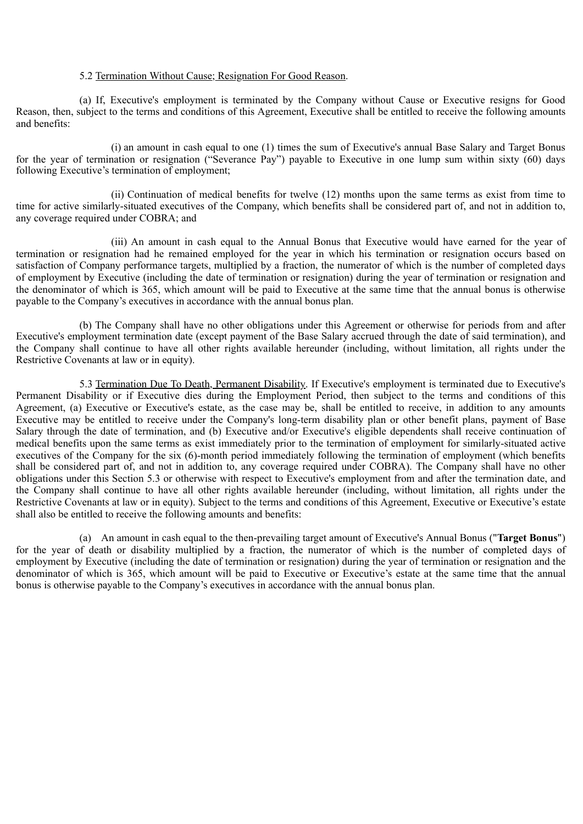#### 5.2 Termination Without Cause; Resignation For Good Reason.

(a) If, Executive's employment is terminated by the Company without Cause or Executive resigns for Good Reason, then, subject to the terms and conditions of this Agreement, Executive shall be entitled to receive the following amounts and benefits:

(i) an amount in cash equal to one (1) times the sum of Executive's annual Base Salary and Target Bonus for the year of termination or resignation ("Severance Pay") payable to Executive in one lump sum within sixty (60) days following Executive's termination of employment;

(ii) Continuation of medical benefits for twelve (12) months upon the same terms as exist from time to time for active similarly-situated executives of the Company, which benefits shall be considered part of, and not in addition to, any coverage required under COBRA; and

(iii) An amount in cash equal to the Annual Bonus that Executive would have earned for the year of termination or resignation had he remained employed for the year in which his termination or resignation occurs based on satisfaction of Company performance targets, multiplied by a fraction, the numerator of which is the number of completed days of employment by Executive (including the date of termination or resignation) during the year of termination or resignation and the denominator of which is 365, which amount will be paid to Executive at the same time that the annual bonus is otherwise payable to the Company's executives in accordance with the annual bonus plan.

(b) The Company shall have no other obligations under this Agreement or otherwise for periods from and after Executive's employment termination date (except payment of the Base Salary accrued through the date of said termination), and the Company shall continue to have all other rights available hereunder (including, without limitation, all rights under the Restrictive Covenants at law or in equity).

5.3 Termination Due To Death, Permanent Disability. If Executive's employment is terminated due to Executive's Permanent Disability or if Executive dies during the Employment Period, then subject to the terms and conditions of this Agreement, (a) Executive or Executive's estate, as the case may be, shall be entitled to receive, in addition to any amounts Executive may be entitled to receive under the Company's long-term disability plan or other benefit plans, payment of Base Salary through the date of termination, and (b) Executive and/or Executive's eligible dependents shall receive continuation of medical benefits upon the same terms as exist immediately prior to the termination of employment for similarly-situated active executives of the Company for the six (6)-month period immediately following the termination of employment (which benefits shall be considered part of, and not in addition to, any coverage required under COBRA). The Company shall have no other obligations under this Section 5.3 or otherwise with respect to Executive's employment from and after the termination date, and the Company shall continue to have all other rights available hereunder (including, without limitation, all rights under the Restrictive Covenants at law or in equity). Subject to the terms and conditions of this Agreement, Executive or Executive's estate shall also be entitled to receive the following amounts and benefits:

(a) An amount in cash equal to the then-prevailing target amount of Executive's Annual Bonus ("**Target Bonus**") for the year of death or disability multiplied by a fraction, the numerator of which is the number of completed days of employment by Executive (including the date of termination or resignation) during the year of termination or resignation and the denominator of which is 365, which amount will be paid to Executive or Executive's estate at the same time that the annual bonus is otherwise payable to the Company's executives in accordance with the annual bonus plan.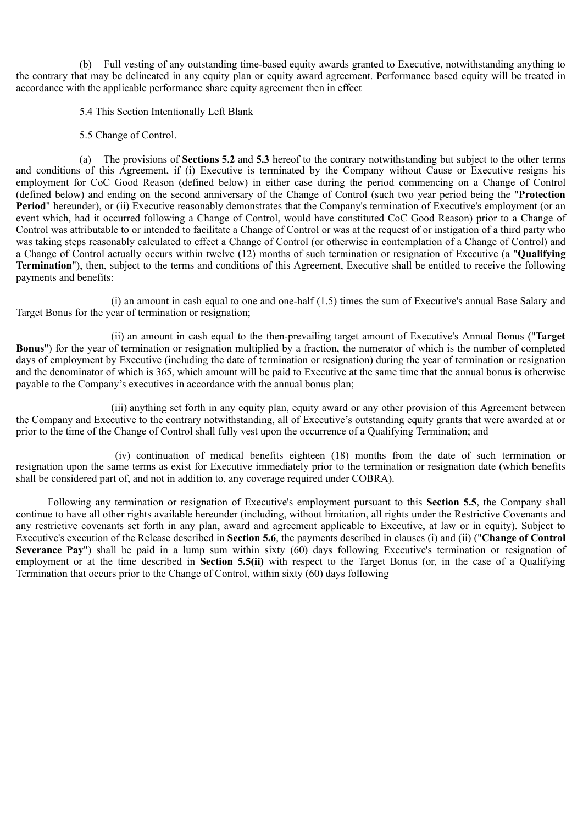(b) Full vesting of any outstanding time-based equity awards granted to Executive, notwithstanding anything to the contrary that may be delineated in any equity plan or equity award agreement. Performance based equity will be treated in accordance with the applicable performance share equity agreement then in effect

#### 5.4 This Section Intentionally Left Blank

#### 5.5 Change of Control.

(a) The provisions of **Sections 5.2** and **5.3** hereof to the contrary notwithstanding but subject to the other terms and conditions of this Agreement, if (i) Executive is terminated by the Company without Cause or Executive resigns his employment for CoC Good Reason (defined below) in either case during the period commencing on a Change of Control (defined below) and ending on the second anniversary of the Change of Control (such two year period being the "**Protection Period**" hereunder), or (ii) Executive reasonably demonstrates that the Company's termination of Executive's employment (or an event which, had it occurred following a Change of Control, would have constituted CoC Good Reason) prior to a Change of Control was attributable to or intended to facilitate a Change of Control or was at the request of or instigation of a third party who was taking steps reasonably calculated to effect a Change of Control (or otherwise in contemplation of a Change of Control) and a Change of Control actually occurs within twelve (12) months of such termination or resignation of Executive (a "**Qualifying Termination**"), then, subject to the terms and conditions of this Agreement, Executive shall be entitled to receive the following payments and benefits:

(i) an amount in cash equal to one and one-half (1.5) times the sum of Executive's annual Base Salary and Target Bonus for the year of termination or resignation;

(ii) an amount in cash equal to the then-prevailing target amount of Executive's Annual Bonus ("**Target Bonus**") for the year of termination or resignation multiplied by a fraction, the numerator of which is the number of completed days of employment by Executive (including the date of termination or resignation) during the year of termination or resignation and the denominator of which is 365, which amount will be paid to Executive at the same time that the annual bonus is otherwise payable to the Company's executives in accordance with the annual bonus plan;

(iii) anything set forth in any equity plan, equity award or any other provision of this Agreement between the Company and Executive to the contrary notwithstanding, all of Executive's outstanding equity grants that were awarded at or prior to the time of the Change of Control shall fully vest upon the occurrence of a Qualifying Termination; and

(iv) continuation of medical benefits eighteen (18) months from the date of such termination or resignation upon the same terms as exist for Executive immediately prior to the termination or resignation date (which benefits shall be considered part of, and not in addition to, any coverage required under COBRA).

Following any termination or resignation of Executive's employment pursuant to this **Section 5.5**, the Company shall continue to have all other rights available hereunder (including, without limitation, all rights under the Restrictive Covenants and any restrictive covenants set forth in any plan, award and agreement applicable to Executive, at law or in equity). Subject to Executive's execution of the Release described in **Section 5.6**, the payments described in clauses (i) and (ii) ("**Change of Control Severance Pay**") shall be paid in a lump sum within sixty (60) days following Executive's termination or resignation of employment or at the time described in **Section 5.5(ii)** with respect to the Target Bonus (or, in the case of a Qualifying Termination that occurs prior to the Change of Control, within sixty (60) days following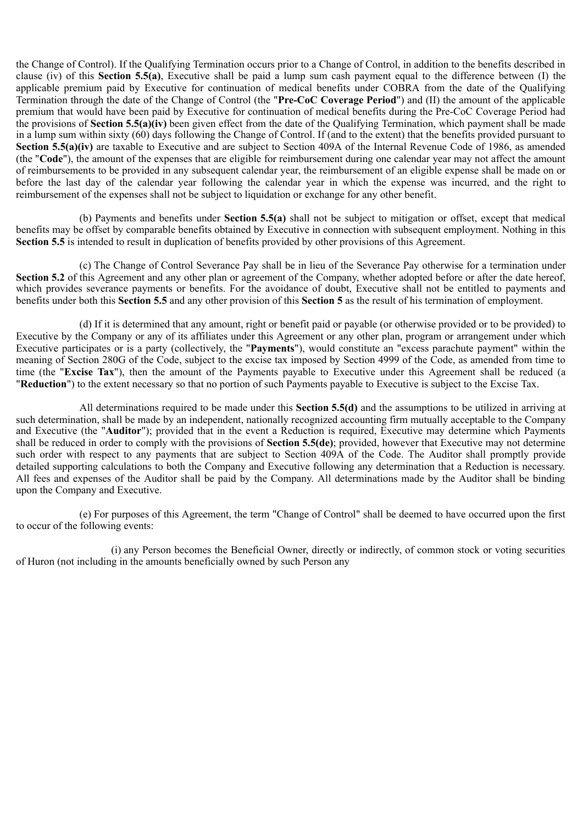the Change of Control). If the Qualifying Termination occurs prior to a Change of Control, in addition to the benefits described in clause (iv) of this **Section 5.5(a)**, Executive shall be paid a lump sum cash payment equal to the difference between (I) the applicable premium paid by Executive for continuation of medical benefits under COBRA from the date of the Qualifying Termination through the date of the Change of Control (the "**Pre-CoC Coverage Period**") and (II) the amount of the applicable premium that would have been paid by Executive for continuation of medical benefits during the Pre-CoC Coverage Period had the provisions of **Section 5.5(a)(iv)** been given effect from the date of the Qualifying Termination, which payment shall be made in a lump sum within sixty (60) days following the Change of Control. If (and to the extent) that the benefits provided pursuant to **Section 5.5(a)(iv)** are taxable to Executive and are subject to Section 409A of the Internal Revenue Code of 1986, as amended (the "**Code**"), the amount of the expenses that are eligible for reimbursement during one calendar year may not affect the amount of reimbursements to be provided in any subsequent calendar year, the reimbursement of an eligible expense shall be made on or before the last day of the calendar year following the calendar year in which the expense was incurred, and the right to reimbursement of the expenses shall not be subject to liquidation or exchange for any other benefit.

(b) Payments and benefits under **Section 5.5(a)** shall not be subject to mitigation or offset, except that medical benefits may be offset by comparable benefits obtained by Executive in connection with subsequent employment. Nothing in this **Section 5.5** is intended to result in duplication of benefits provided by other provisions of this Agreement.

(c) The Change of Control Severance Pay shall be in lieu of the Severance Pay otherwise for a termination under **Section 5.2** of this Agreement and any other plan or agreement of the Company, whether adopted before or after the date hereof, which provides severance payments or benefits. For the avoidance of doubt, Executive shall not be entitled to payments and benefits under both this **Section 5.5** and any other provision of this **Section 5** as the result of his termination of employment.

(d) If it is determined that any amount, right or benefit paid or payable (or otherwise provided or to be provided) to Executive by the Company or any of its affiliates under this Agreement or any other plan, program or arrangement under which Executive participates or is a party (collectively, the "**Payments**"), would constitute an "excess parachute payment" within the meaning of Section 280G of the Code, subject to the excise tax imposed by Section 4999 of the Code, as amended from time to time (the "**Excise Tax**"), then the amount of the Payments payable to Executive under this Agreement shall be reduced (a "**Reduction**") to the extent necessary so that no portion of such Payments payable to Executive is subject to the Excise Tax.

All determinations required to be made under this **Section 5.5(d)** and the assumptions to be utilized in arriving at such determination, shall be made by an independent, nationally recognized accounting firm mutually acceptable to the Company and Executive (the "**Auditor**"); provided that in the event a Reduction is required, Executive may determine which Payments shall be reduced in order to comply with the provisions of **Section 5.5(de)**; provided, however that Executive may not determine such order with respect to any payments that are subject to Section 409A of the Code. The Auditor shall promptly provide detailed supporting calculations to both the Company and Executive following any determination that a Reduction is necessary. All fees and expenses of the Auditor shall be paid by the Company. All determinations made by the Auditor shall be binding upon the Company and Executive.

(e) For purposes of this Agreement, the term "Change of Control" shall be deemed to have occurred upon the first to occur of the following events:

(i) any Person becomes the Beneficial Owner, directly or indirectly, of common stock or voting securities of Huron (not including in the amounts beneficially owned by such Person any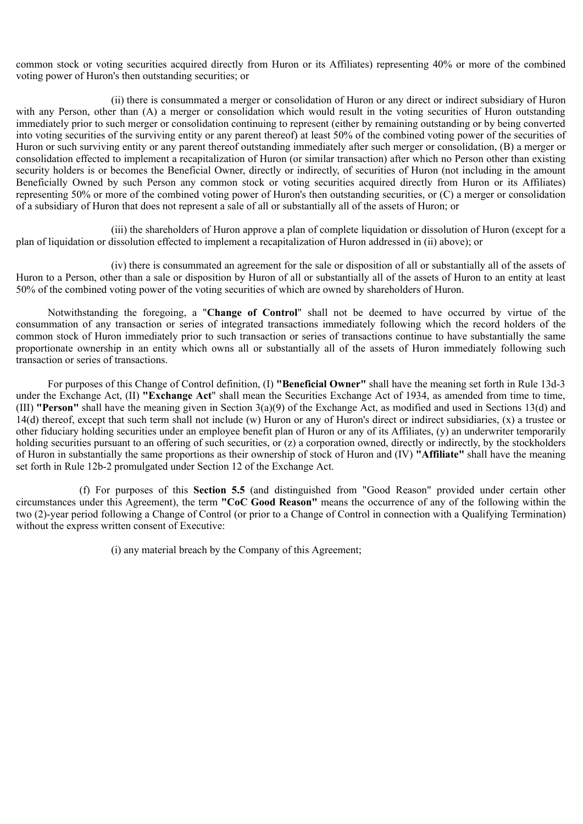common stock or voting securities acquired directly from Huron or its Affiliates) representing 40% or more of the combined voting power of Huron's then outstanding securities; or

(ii) there is consummated a merger or consolidation of Huron or any direct or indirect subsidiary of Huron with any Person, other than (A) a merger or consolidation which would result in the voting securities of Huron outstanding immediately prior to such merger or consolidation continuing to represent (either by remaining outstanding or by being converted into voting securities of the surviving entity or any parent thereof) at least 50% of the combined voting power of the securities of Huron or such surviving entity or any parent thereof outstanding immediately after such merger or consolidation, (B) a merger or consolidation effected to implement a recapitalization of Huron (or similar transaction) after which no Person other than existing security holders is or becomes the Beneficial Owner, directly or indirectly, of securities of Huron (not including in the amount Beneficially Owned by such Person any common stock or voting securities acquired directly from Huron or its Affiliates) representing 50% or more of the combined voting power of Huron's then outstanding securities, or (C) a merger or consolidation of a subsidiary of Huron that does not represent a sale of all or substantially all of the assets of Huron; or

(iii) the shareholders of Huron approve a plan of complete liquidation or dissolution of Huron (except for a plan of liquidation or dissolution effected to implement a recapitalization of Huron addressed in (ii) above); or

(iv) there is consummated an agreement for the sale or disposition of all or substantially all of the assets of Huron to a Person, other than a sale or disposition by Huron of all or substantially all of the assets of Huron to an entity at least 50% of the combined voting power of the voting securities of which are owned by shareholders of Huron.

Notwithstanding the foregoing, a "**Change of Control**" shall not be deemed to have occurred by virtue of the consummation of any transaction or series of integrated transactions immediately following which the record holders of the common stock of Huron immediately prior to such transaction or series of transactions continue to have substantially the same proportionate ownership in an entity which owns all or substantially all of the assets of Huron immediately following such transaction or series of transactions.

For purposes of this Change of Control definition, (I) **"Beneficial Owner"** shall have the meaning set forth in Rule 13d-3 under the Exchange Act, (II) **"Exchange Act**" shall mean the Securities Exchange Act of 1934, as amended from time to time, (III) **"Person"** shall have the meaning given in Section 3(a)(9) of the Exchange Act, as modified and used in Sections 13(d) and 14(d) thereof, except that such term shall not include (w) Huron or any of Huron's direct or indirect subsidiaries, (x) a trustee or other fiduciary holding securities under an employee benefit plan of Huron or any of its Affiliates, (y) an underwriter temporarily holding securities pursuant to an offering of such securities, or (z) a corporation owned, directly or indirectly, by the stockholders of Huron in substantially the same proportions as their ownership of stock of Huron and (IV) **"Affiliate"** shall have the meaning set forth in Rule 12b-2 promulgated under Section 12 of the Exchange Act.

(f) For purposes of this **Section 5.5** (and distinguished from "Good Reason" provided under certain other circumstances under this Agreement), the term **"CoC Good Reason"** means the occurrence of any of the following within the two (2)-year period following a Change of Control (or prior to a Change of Control in connection with a Qualifying Termination) without the express written consent of Executive:

(i) any material breach by the Company of this Agreement;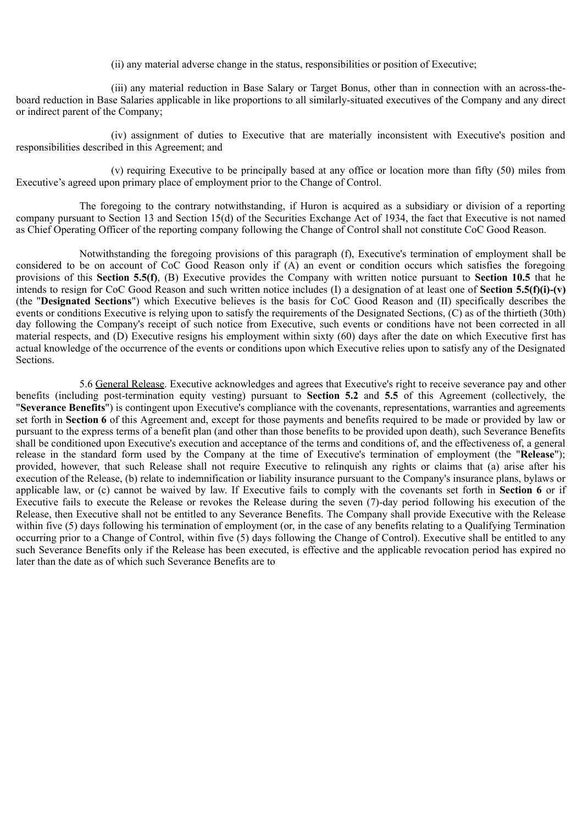(ii) any material adverse change in the status, responsibilities or position of Executive;

(iii) any material reduction in Base Salary or Target Bonus, other than in connection with an across-theboard reduction in Base Salaries applicable in like proportions to all similarly-situated executives of the Company and any direct or indirect parent of the Company;

(iv) assignment of duties to Executive that are materially inconsistent with Executive's position and responsibilities described in this Agreement; and

(v) requiring Executive to be principally based at any office or location more than fifty (50) miles from Executive's agreed upon primary place of employment prior to the Change of Control.

The foregoing to the contrary notwithstanding, if Huron is acquired as a subsidiary or division of a reporting company pursuant to Section 13 and Section 15(d) of the Securities Exchange Act of 1934, the fact that Executive is not named as Chief Operating Officer of the reporting company following the Change of Control shall not constitute CoC Good Reason.

Notwithstanding the foregoing provisions of this paragraph (f), Executive's termination of employment shall be considered to be on account of CoC Good Reason only if (A) an event or condition occurs which satisfies the foregoing provisions of this **Section 5.5(f)**, (B) Executive provides the Company with written notice pursuant to **Section 10.5** that he intends to resign for CoC Good Reason and such written notice includes (I) a designation of at least one of **Section 5.5(f)(i)-(v)** (the "**Designated Sections**") which Executive believes is the basis for CoC Good Reason and (II) specifically describes the events or conditions Executive is relying upon to satisfy the requirements of the Designated Sections, (C) as of the thirtieth (30th) day following the Company's receipt of such notice from Executive, such events or conditions have not been corrected in all material respects, and (D) Executive resigns his employment within sixty (60) days after the date on which Executive first has actual knowledge of the occurrence of the events or conditions upon which Executive relies upon to satisfy any of the Designated **Sections** 

5.6 General Release. Executive acknowledges and agrees that Executive's right to receive severance pay and other benefits (including post-termination equity vesting) pursuant to **Section 5.2** and **5.5** of this Agreement (collectively, the "**Severance Benefits**") is contingent upon Executive's compliance with the covenants, representations, warranties and agreements set forth in **Section 6** of this Agreement and, except for those payments and benefits required to be made or provided by law or pursuant to the express terms of a benefit plan (and other than those benefits to be provided upon death), such Severance Benefits shall be conditioned upon Executive's execution and acceptance of the terms and conditions of, and the effectiveness of, a general release in the standard form used by the Company at the time of Executive's termination of employment (the "Release"); provided, however, that such Release shall not require Executive to relinquish any rights or claims that (a) arise after his execution of the Release, (b) relate to indemnification or liability insurance pursuant to the Company's insurance plans, bylaws or applicable law, or (c) cannot be waived by law. If Executive fails to comply with the covenants set forth in **Section 6** or if Executive fails to execute the Release or revokes the Release during the seven (7)-day period following his execution of the Release, then Executive shall not be entitled to any Severance Benefits. The Company shall provide Executive with the Release within five (5) days following his termination of employment (or, in the case of any benefits relating to a Qualifying Termination occurring prior to a Change of Control, within five (5) days following the Change of Control). Executive shall be entitled to any such Severance Benefits only if the Release has been executed, is effective and the applicable revocation period has expired no later than the date as of which such Severance Benefits are to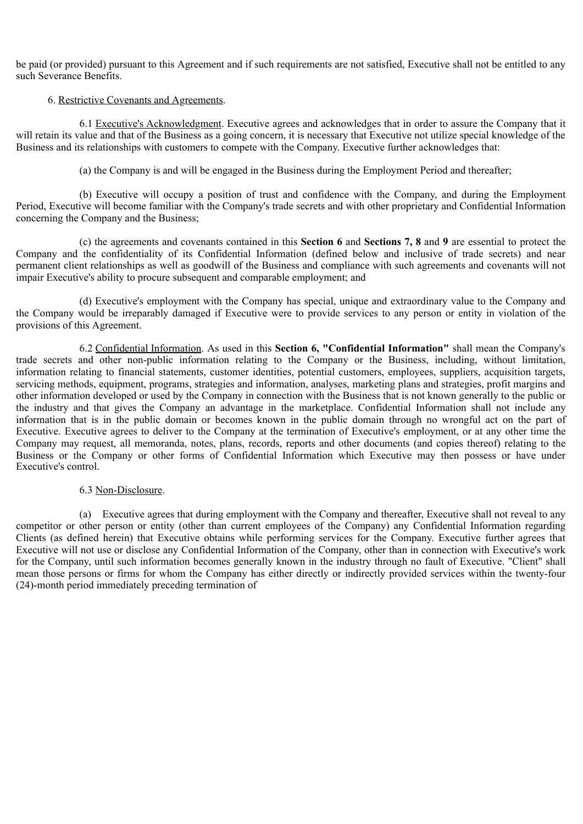be paid (or provided) pursuant to this Agreement and if such requirements are not satisfied, Executive shall not be entitled to any such Severance Benefits.

#### 6. Restrictive Covenants and Agreements.

6.1 Executive's Acknowledgment. Executive agrees and acknowledges that in order to assure the Company that it will retain its value and that of the Business as a going concern, it is necessary that Executive not utilize special knowledge of the Business and its relationships with customers to compete with the Company. Executive further acknowledges that:

(a) the Company is and will be engaged in the Business during the Employment Period and thereafter;

(b) Executive will occupy a position of trust and confidence with the Company, and during the Employment Period, Executive will become familiar with the Company's trade secrets and with other proprietary and Confidential Information concerning the Company and the Business;

(c) the agreements and covenants contained in this **Section 6** and **Sections 7, 8** and **9** are essential to protect the Company and the confidentiality of its Confidential Information (defined below and inclusive of trade secrets) and near permanent client relationships as well as goodwill of the Business and compliance with such agreements and covenants will not impair Executive's ability to procure subsequent and comparable employment; and

(d) Executive's employment with the Company has special, unique and extraordinary value to the Company and the Company would be irreparably damaged if Executive were to provide services to any person or entity in violation of the provisions of this Agreement.

6.2 Confidential Information. As used in this **Section 6, "Confidential Information"** shall mean the Company's trade secrets and other non-public information relating to the Company or the Business, including, without limitation, information relating to financial statements, customer identities, potential customers, employees, suppliers, acquisition targets, servicing methods, equipment, programs, strategies and information, analyses, marketing plans and strategies, profit margins and other information developed or used by the Company in connection with the Business that is not known generally to the public or the industry and that gives the Company an advantage in the marketplace. Confidential Information shall not include any information that is in the public domain or becomes known in the public domain through no wrongful act on the part of Executive. Executive agrees to deliver to the Company at the termination of Executive's employment, or at any other time the Company may request, all memoranda, notes, plans, records, reports and other documents (and copies thereof) relating to the Business or the Company or other forms of Confidential Information which Executive may then possess or have under Executive's control.

#### 6.3 Non-Disclosure.

(a) Executive agrees that during employment with the Company and thereafter, Executive shall not reveal to any competitor or other person or entity (other than current employees of the Company) any Confidential Information regarding Clients (as defined herein) that Executive obtains while performing services for the Company. Executive further agrees that Executive will not use or disclose any Confidential Information of the Company, other than in connection with Executive's work for the Company, until such information becomes generally known in the industry through no fault of Executive. "Client" shall mean those persons or firms for whom the Company has either directly or indirectly provided services within the twenty-four (24)-month period immediately preceding termination of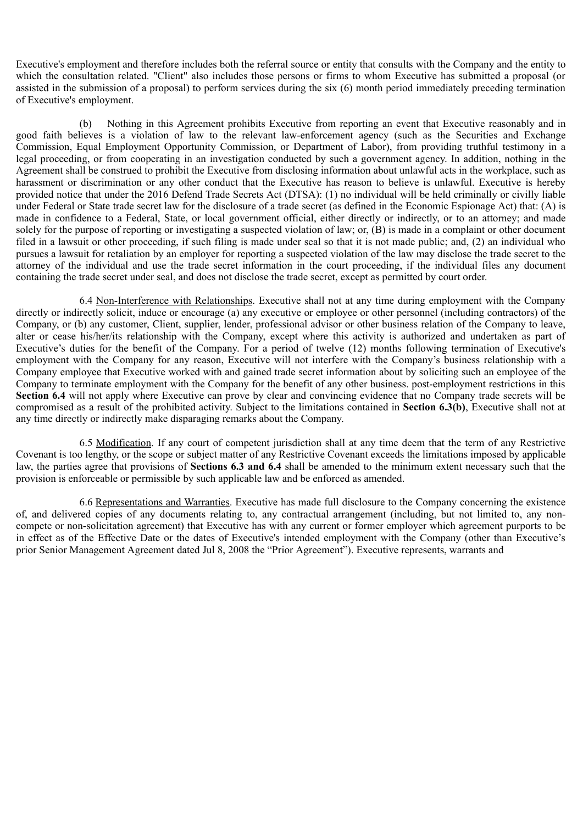Executive's employment and therefore includes both the referral source or entity that consults with the Company and the entity to which the consultation related. "Client" also includes those persons or firms to whom Executive has submitted a proposal (or assisted in the submission of a proposal) to perform services during the six (6) month period immediately preceding termination of Executive's employment.

(b) Nothing in this Agreement prohibits Executive from reporting an event that Executive reasonably and in good faith believes is a violation of law to the relevant law-enforcement agency (such as the Securities and Exchange Commission, Equal Employment Opportunity Commission, or Department of Labor), from providing truthful testimony in a legal proceeding, or from cooperating in an investigation conducted by such a government agency. In addition, nothing in the Agreement shall be construed to prohibit the Executive from disclosing information about unlawful acts in the workplace, such as harassment or discrimination or any other conduct that the Executive has reason to believe is unlawful. Executive is hereby provided notice that under the 2016 Defend Trade Secrets Act (DTSA): (1) no individual will be held criminally or civilly liable under Federal or State trade secret law for the disclosure of a trade secret (as defined in the Economic Espionage Act) that: (A) is made in confidence to a Federal, State, or local government official, either directly or indirectly, or to an attorney; and made solely for the purpose of reporting or investigating a suspected violation of law; or, (B) is made in a complaint or other document filed in a lawsuit or other proceeding, if such filing is made under seal so that it is not made public; and, (2) an individual who pursues a lawsuit for retaliation by an employer for reporting a suspected violation of the law may disclose the trade secret to the attorney of the individual and use the trade secret information in the court proceeding, if the individual files any document containing the trade secret under seal, and does not disclose the trade secret, except as permitted by court order.

6.4 Non-Interference with Relationships. Executive shall not at any time during employment with the Company directly or indirectly solicit, induce or encourage (a) any executive or employee or other personnel (including contractors) of the Company, or (b) any customer, Client, supplier, lender, professional advisor or other business relation of the Company to leave, alter or cease his/her/its relationship with the Company, except where this activity is authorized and undertaken as part of Executive's duties for the benefit of the Company. For a period of twelve (12) months following termination of Executive's employment with the Company for any reason, Executive will not interfere with the Company's business relationship with a Company employee that Executive worked with and gained trade secret information about by soliciting such an employee of the Company to terminate employment with the Company for the benefit of any other business. post-employment restrictions in this **Section 6.4** will not apply where Executive can prove by clear and convincing evidence that no Company trade secrets will be compromised as a result of the prohibited activity. Subject to the limitations contained in **Section 6.3(b)**, Executive shall not at any time directly or indirectly make disparaging remarks about the Company.

6.5 Modification. If any court of competent jurisdiction shall at any time deem that the term of any Restrictive Covenant is too lengthy, or the scope or subject matter of any Restrictive Covenant exceeds the limitations imposed by applicable law, the parties agree that provisions of **Sections 6.3 and 6.4** shall be amended to the minimum extent necessary such that the provision is enforceable or permissible by such applicable law and be enforced as amended.

6.6 Representations and Warranties. Executive has made full disclosure to the Company concerning the existence of, and delivered copies of any documents relating to, any contractual arrangement (including, but not limited to, any noncompete or non-solicitation agreement) that Executive has with any current or former employer which agreement purports to be in effect as of the Effective Date or the dates of Executive's intended employment with the Company (other than Executive's prior Senior Management Agreement dated Jul 8, 2008 the "Prior Agreement"). Executive represents, warrants and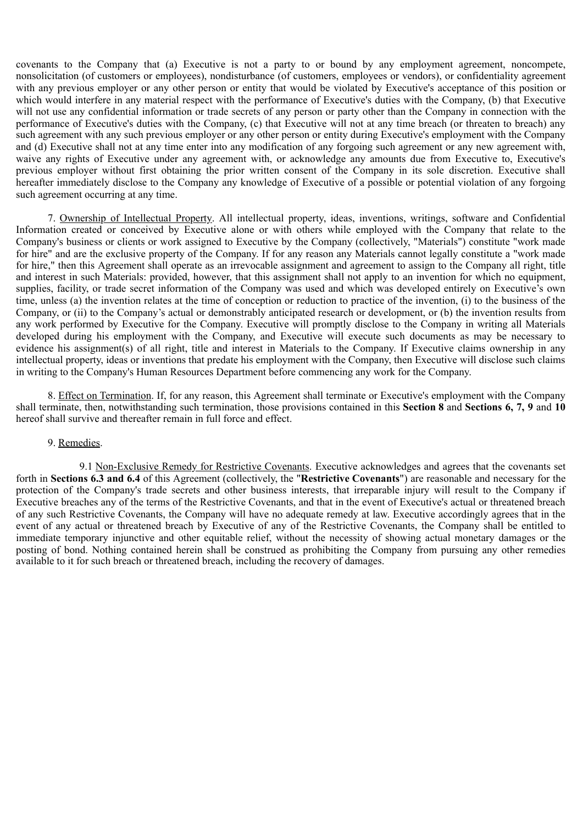covenants to the Company that (a) Executive is not a party to or bound by any employment agreement, noncompete, nonsolicitation (of customers or employees), nondisturbance (of customers, employees or vendors), or confidentiality agreement with any previous employer or any other person or entity that would be violated by Executive's acceptance of this position or which would interfere in any material respect with the performance of Executive's duties with the Company, (b) that Executive will not use any confidential information or trade secrets of any person or party other than the Company in connection with the performance of Executive's duties with the Company, (c) that Executive will not at any time breach (or threaten to breach) any such agreement with any such previous employer or any other person or entity during Executive's employment with the Company and (d) Executive shall not at any time enter into any modification of any forgoing such agreement or any new agreement with, waive any rights of Executive under any agreement with, or acknowledge any amounts due from Executive to, Executive's previous employer without first obtaining the prior written consent of the Company in its sole discretion. Executive shall hereafter immediately disclose to the Company any knowledge of Executive of a possible or potential violation of any forgoing such agreement occurring at any time.

7. Ownership of Intellectual Property. All intellectual property, ideas, inventions, writings, software and Confidential Information created or conceived by Executive alone or with others while employed with the Company that relate to the Company's business or clients or work assigned to Executive by the Company (collectively, "Materials") constitute "work made for hire" and are the exclusive property of the Company. If for any reason any Materials cannot legally constitute a "work made for hire," then this Agreement shall operate as an irrevocable assignment and agreement to assign to the Company all right, title and interest in such Materials: provided, however, that this assignment shall not apply to an invention for which no equipment, supplies, facility, or trade secret information of the Company was used and which was developed entirely on Executive's own time, unless (a) the invention relates at the time of conception or reduction to practice of the invention, (i) to the business of the Company, or (ii) to the Company's actual or demonstrably anticipated research or development, or (b) the invention results from any work performed by Executive for the Company. Executive will promptly disclose to the Company in writing all Materials developed during his employment with the Company, and Executive will execute such documents as may be necessary to evidence his assignment(s) of all right, title and interest in Materials to the Company. If Executive claims ownership in any intellectual property, ideas or inventions that predate his employment with the Company, then Executive will disclose such claims in writing to the Company's Human Resources Department before commencing any work for the Company.

8. Effect on Termination. If, for any reason, this Agreement shall terminate or Executive's employment with the Company shall terminate, then, notwithstanding such termination, those provisions contained in this **Section 8** and **Sections 6, 7, 9** and **10** hereof shall survive and thereafter remain in full force and effect.

#### 9. Remedies.

9.1 Non-Exclusive Remedy for Restrictive Covenants. Executive acknowledges and agrees that the covenants set forth in **Sections 6.3 and 6.4** of this Agreement (collectively, the "**Restrictive Covenants**") are reasonable and necessary for the protection of the Company's trade secrets and other business interests, that irreparable injury will result to the Company if Executive breaches any of the terms of the Restrictive Covenants, and that in the event of Executive's actual or threatened breach of any such Restrictive Covenants, the Company will have no adequate remedy at law. Executive accordingly agrees that in the event of any actual or threatened breach by Executive of any of the Restrictive Covenants, the Company shall be entitled to immediate temporary injunctive and other equitable relief, without the necessity of showing actual monetary damages or the posting of bond. Nothing contained herein shall be construed as prohibiting the Company from pursuing any other remedies available to it for such breach or threatened breach, including the recovery of damages.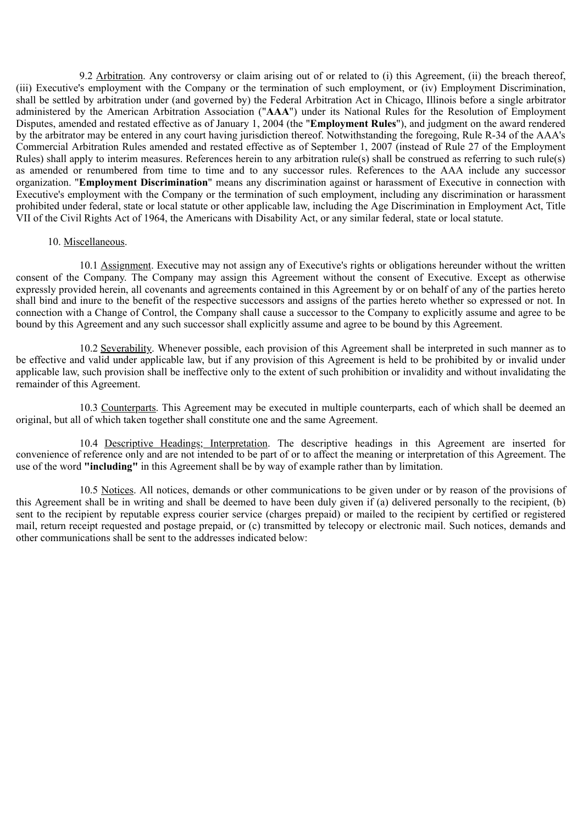9.2 Arbitration. Any controversy or claim arising out of or related to (i) this Agreement, (ii) the breach thereof, (iii) Executive's employment with the Company or the termination of such employment, or (iv) Employment Discrimination, shall be settled by arbitration under (and governed by) the Federal Arbitration Act in Chicago, Illinois before a single arbitrator administered by the American Arbitration Association ("**AAA**") under its National Rules for the Resolution of Employment Disputes, amended and restated effective as of January 1, 2004 (the "**Employment Rules**"), and judgment on the award rendered by the arbitrator may be entered in any court having jurisdiction thereof. Notwithstanding the foregoing, Rule R-34 of the AAA's Commercial Arbitration Rules amended and restated effective as of September 1, 2007 (instead of Rule 27 of the Employment Rules) shall apply to interim measures. References herein to any arbitration rule(s) shall be construed as referring to such rule(s) as amended or renumbered from time to time and to any successor rules. References to the AAA include any successor organization. "**Employment Discrimination**" means any discrimination against or harassment of Executive in connection with Executive's employment with the Company or the termination of such employment, including any discrimination or harassment prohibited under federal, state or local statute or other applicable law, including the Age Discrimination in Employment Act, Title VII of the Civil Rights Act of 1964, the Americans with Disability Act, or any similar federal, state or local statute.

#### 10. Miscellaneous.

10.1 Assignment. Executive may not assign any of Executive's rights or obligations hereunder without the written consent of the Company. The Company may assign this Agreement without the consent of Executive. Except as otherwise expressly provided herein, all covenants and agreements contained in this Agreement by or on behalf of any of the parties hereto shall bind and inure to the benefit of the respective successors and assigns of the parties hereto whether so expressed or not. In connection with a Change of Control, the Company shall cause a successor to the Company to explicitly assume and agree to be bound by this Agreement and any such successor shall explicitly assume and agree to be bound by this Agreement.

10.2 Severability. Whenever possible, each provision of this Agreement shall be interpreted in such manner as to be effective and valid under applicable law, but if any provision of this Agreement is held to be prohibited by or invalid under applicable law, such provision shall be ineffective only to the extent of such prohibition or invalidity and without invalidating the remainder of this Agreement.

10.3 Counterparts. This Agreement may be executed in multiple counterparts, each of which shall be deemed an original, but all of which taken together shall constitute one and the same Agreement.

10.4 Descriptive Headings; Interpretation. The descriptive headings in this Agreement are inserted for convenience of reference only and are not intended to be part of or to affect the meaning or interpretation of this Agreement. The use of the word **"including"** in this Agreement shall be by way of example rather than by limitation.

10.5 Notices. All notices, demands or other communications to be given under or by reason of the provisions of this Agreement shall be in writing and shall be deemed to have been duly given if (a) delivered personally to the recipient, (b) sent to the recipient by reputable express courier service (charges prepaid) or mailed to the recipient by certified or registered mail, return receipt requested and postage prepaid, or (c) transmitted by telecopy or electronic mail. Such notices, demands and other communications shall be sent to the addresses indicated below: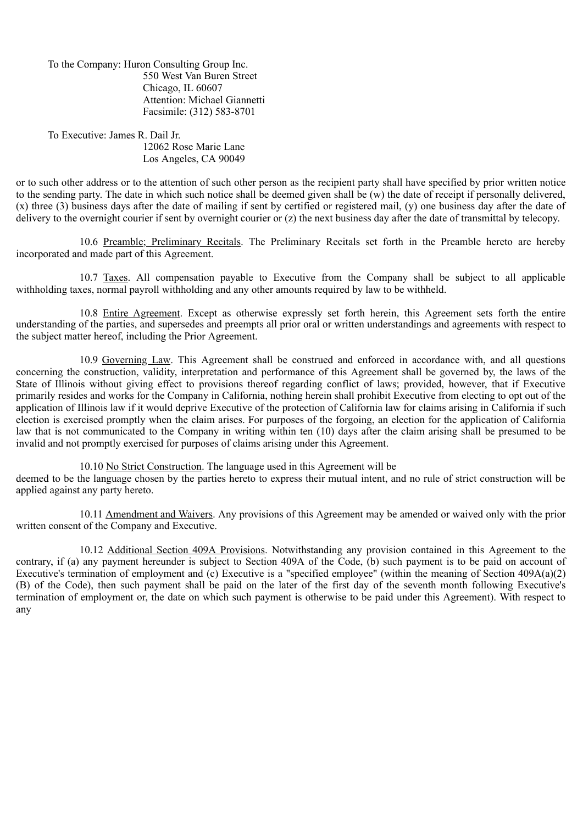To the Company: Huron Consulting Group Inc. 550 West Van Buren Street Chicago, IL 60607 Attention: Michael Giannetti Facsimile: (312) 583-8701

To Executive: James R. Dail Jr. 12062 Rose Marie Lane Los Angeles, CA 90049

or to such other address or to the attention of such other person as the recipient party shall have specified by prior written notice to the sending party. The date in which such notice shall be deemed given shall be (w) the date of receipt if personally delivered, (x) three (3) business days after the date of mailing if sent by certified or registered mail, (y) one business day after the date of delivery to the overnight courier if sent by overnight courier or (z) the next business day after the date of transmittal by telecopy.

10.6 Preamble; Preliminary Recitals. The Preliminary Recitals set forth in the Preamble hereto are hereby incorporated and made part of this Agreement.

10.7 Taxes. All compensation payable to Executive from the Company shall be subject to all applicable withholding taxes, normal payroll withholding and any other amounts required by law to be withheld.

10.8 Entire Agreement. Except as otherwise expressly set forth herein, this Agreement sets forth the entire understanding of the parties, and supersedes and preempts all prior oral or written understandings and agreements with respect to the subject matter hereof, including the Prior Agreement.

10.9 Governing Law. This Agreement shall be construed and enforced in accordance with, and all questions concerning the construction, validity, interpretation and performance of this Agreement shall be governed by, the laws of the State of Illinois without giving effect to provisions thereof regarding conflict of laws; provided, however, that if Executive primarily resides and works for the Company in California, nothing herein shall prohibit Executive from electing to opt out of the application of Illinois law if it would deprive Executive of the protection of California law for claims arising in California if such election is exercised promptly when the claim arises. For purposes of the forgoing, an election for the application of California law that is not communicated to the Company in writing within ten (10) days after the claim arising shall be presumed to be invalid and not promptly exercised for purposes of claims arising under this Agreement.

10.10 No Strict Construction. The language used in this Agreement will be

deemed to be the language chosen by the parties hereto to express their mutual intent, and no rule of strict construction will be applied against any party hereto.

10.11 Amendment and Waivers. Any provisions of this Agreement may be amended or waived only with the prior written consent of the Company and Executive.

10.12 Additional Section 409A Provisions. Notwithstanding any provision contained in this Agreement to the contrary, if (a) any payment hereunder is subject to Section 409A of the Code, (b) such payment is to be paid on account of Executive's termination of employment and (c) Executive is a "specified employee" (within the meaning of Section 409A(a)(2) (B) of the Code), then such payment shall be paid on the later of the first day of the seventh month following Executive's termination of employment or, the date on which such payment is otherwise to be paid under this Agreement). With respect to any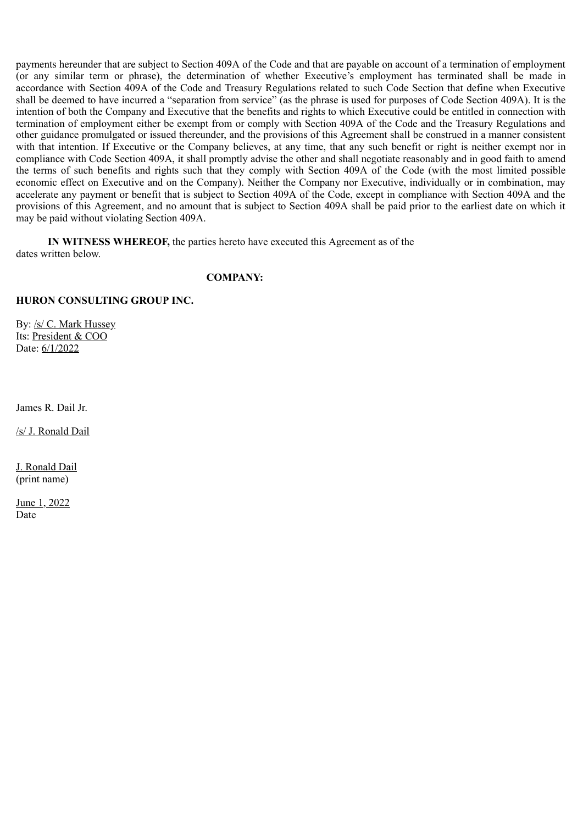payments hereunder that are subject to Section 409A of the Code and that are payable on account of a termination of employment (or any similar term or phrase), the determination of whether Executive's employment has terminated shall be made in accordance with Section 409A of the Code and Treasury Regulations related to such Code Section that define when Executive shall be deemed to have incurred a "separation from service" (as the phrase is used for purposes of Code Section 409A). It is the intention of both the Company and Executive that the benefits and rights to which Executive could be entitled in connection with termination of employment either be exempt from or comply with Section 409A of the Code and the Treasury Regulations and other guidance promulgated or issued thereunder, and the provisions of this Agreement shall be construed in a manner consistent with that intention. If Executive or the Company believes, at any time, that any such benefit or right is neither exempt nor in compliance with Code Section 409A, it shall promptly advise the other and shall negotiate reasonably and in good faith to amend the terms of such benefits and rights such that they comply with Section 409A of the Code (with the most limited possible economic effect on Executive and on the Company). Neither the Company nor Executive, individually or in combination, may accelerate any payment or benefit that is subject to Section 409A of the Code, except in compliance with Section 409A and the provisions of this Agreement, and no amount that is subject to Section 409A shall be paid prior to the earliest date on which it may be paid without violating Section 409A.

**IN WITNESS WHEREOF,** the parties hereto have executed this Agreement as of the dates written below.

#### **COMPANY:**

#### **HURON CONSULTING GROUP INC.**

By: /s/ C. Mark Hussey Its: President & COO Date: 6/1/2022

James R. Dail Jr.

/s/ J. Ronald Dail

J. Ronald Dail (print name)

June 1, 2022 Date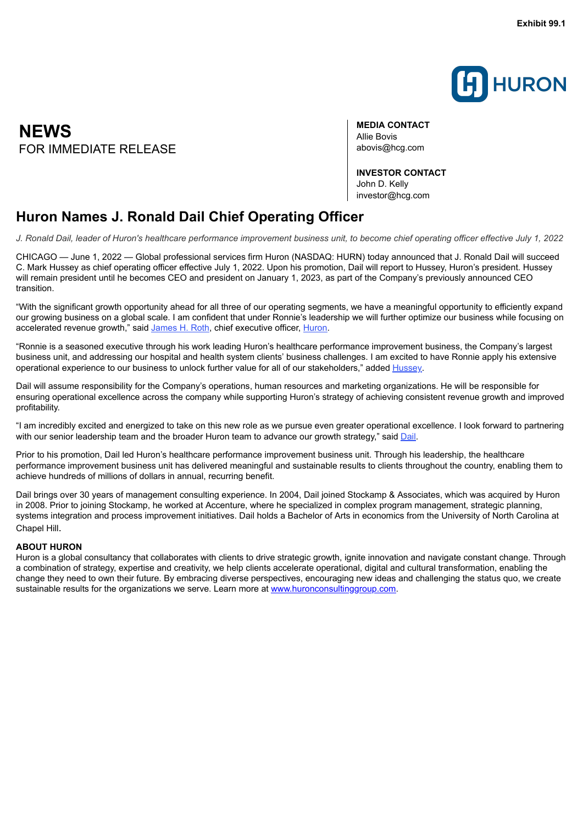

<span id="page-20-0"></span>**NEWS** FOR IMMEDIATE REI FASE abovis@hcg.com

**MEDIA CONTACT** Allie Bovis

**INVESTOR CONTACT** John D. Kelly investor@hcg.com

## **Huron Names J. Ronald Dail Chief Operating Officer**

J. Ronald Dail, leader of Huron's healthcare performance improvement business unit, to become chief operating officer effective July 1, 2022

CHICAGO — June 1, 2022 — Global professional services firm Huron (NASDAQ: HURN) today announced that J. Ronald Dail will succeed C. Mark Hussey as chief operating officer effective July 1, 2022. Upon his promotion, Dail will report to Hussey, Huron's president. Hussey will remain president until he becomes CEO and president on January 1, 2023, as part of the Company's previously announced CEO transition.

"With the significant growth opportunity ahead for all three of our operating segments, we have a meaningful opportunity to efficiently expand our growing business on a global scale. I am confident that under Ronnie's leadership we will further optimize our business while focusing on accelerated revenue growth," said James H. Roth, chief executive officer, Huron.

"Ronnie is a seasoned executive through his work leading Huron's healthcare performance improvement business, the Company's largest business unit, and addressing our hospital and health system clients' business challenges. I am excited to have Ronnie apply his extensive operational experience to our business to unlock further value for all of our stakeholders," added Hussey.

Dail will assume responsibility for the Company's operations, human resources and marketing organizations. He will be responsible for ensuring operational excellence across the company while supporting Huron's strategy of achieving consistent revenue growth and improved profitability.

"I am incredibly excited and energized to take on this new role as we pursue even greater operational excellence. I look forward to partnering with our senior leadership team and the broader Huron team to advance our growth strategy," said Dail.

Prior to his promotion, Dail led Huron's healthcare performance improvement business unit. Through his leadership, the healthcare performance improvement business unit has delivered meaningful and sustainable results to clients throughout the country, enabling them to achieve hundreds of millions of dollars in annual, recurring benefit.

Dail brings over 30 years of management consulting experience. In 2004, Dail joined Stockamp & Associates, which was acquired by Huron in 2008. Prior to joining Stockamp, he worked at Accenture, where he specialized in complex program management, strategic planning, systems integration and process improvement initiatives. Dail holds a Bachelor of Arts in economics from the University of North Carolina at Chapel Hill.

#### **ABOUT HURON**

Huron is a global consultancy that collaborates with clients to drive strategic growth, ignite innovation and navigate constant change. Through a combination of strategy, expertise and creativity, we help clients accelerate operational, digital and cultural transformation, enabling the change they need to own their future. By embracing diverse perspectives, encouraging new ideas and challenging the status quo, we create sustainable results for the organizations we serve. Learn more at www.huronconsultinggroup.com.